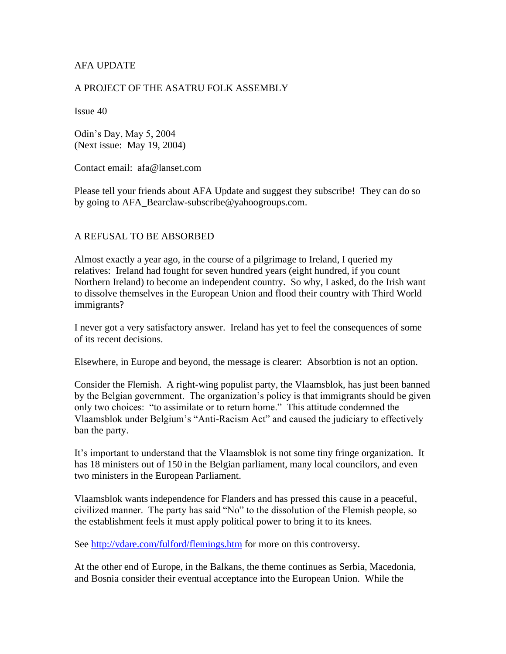## AFA UPDATE

#### A PROJECT OF THE ASATRU FOLK ASSEMBLY

Issue 40

Odin's Day, May 5, 2004 (Next issue: May 19, 2004)

Contact email: afa@lanset.com

Please tell your friends about AFA Update and suggest they subscribe! They can do so by going to AFA\_Bearclaw-subscribe@yahoogroups.com.

#### A REFUSAL TO BE ABSORBED

Almost exactly a year ago, in the course of a pilgrimage to Ireland, I queried my relatives: Ireland had fought for seven hundred years (eight hundred, if you count Northern Ireland) to become an independent country. So why, I asked, do the Irish want to dissolve themselves in the European Union and flood their country with Third World immigrants?

I never got a very satisfactory answer. Ireland has yet to feel the consequences of some of its recent decisions.

Elsewhere, in Europe and beyond, the message is clearer: Absorbtion is not an option.

Consider the Flemish. A right-wing populist party, the Vlaamsblok, has just been banned by the Belgian government. The organization's policy is that immigrants should be given only two choices: "to assimilate or to return home." This attitude condemned the Vlaamsblok under Belgium's "Anti-Racism Act" and caused the judiciary to effectively ban the party.

It's important to understand that the Vlaamsblok is not some tiny fringe organization. It has 18 ministers out of 150 in the Belgian parliament, many local councilors, and even two ministers in the European Parliament.

Vlaamsblok wants independence for Flanders and has pressed this cause in a peaceful, civilized manner. The party has said "No" to the dissolution of the Flemish people, so the establishment feels it must apply political power to bring it to its knees.

See<http://vdare.com/fulford/flemings.htm> for more on this controversy.

At the other end of Europe, in the Balkans, the theme continues as Serbia, Macedonia, and Bosnia consider their eventual acceptance into the European Union. While the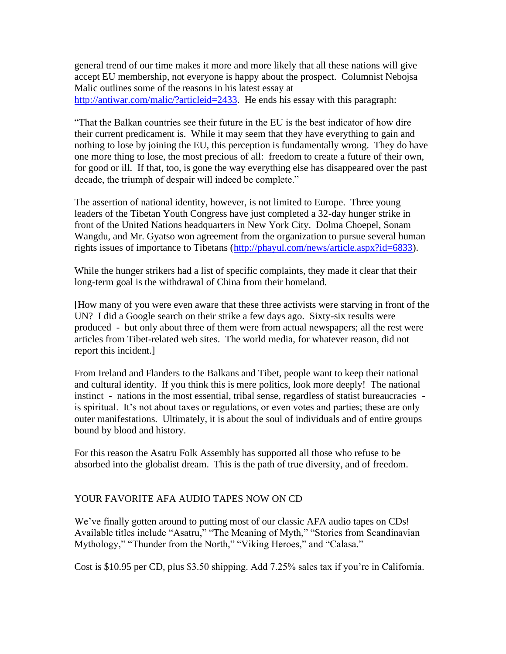general trend of our time makes it more and more likely that all these nations will give accept EU membership, not everyone is happy about the prospect. Columnist Nebojsa Malic outlines some of the reasons in his latest essay at [http://antiwar.com/malic/?articleid=2433.](http://antiwar.com/malic/?articleid=2433) He ends his essay with this paragraph:

"That the Balkan countries see their future in the EU is the best indicator of how dire their current predicament is. While it may seem that they have everything to gain and nothing to lose by joining the EU, this perception is fundamentally wrong. They do have one more thing to lose, the most precious of all: freedom to create a future of their own, for good or ill. If that, too, is gone the way everything else has disappeared over the past decade, the triumph of despair will indeed be complete."

The assertion of national identity, however, is not limited to Europe. Three young leaders of the Tibetan Youth Congress have just completed a 32-day hunger strike in front of the United Nations headquarters in New York City. Dolma Choepel, Sonam Wangdu, and Mr. Gyatso won agreement from the organization to pursue several human rights issues of importance to Tibetans [\(http://phayul.com/news/article.aspx?id=6833\)](http://phayul.com/news/article.aspx?id=6833).

While the hunger strikers had a list of specific complaints, they made it clear that their long-term goal is the withdrawal of China from their homeland.

[How many of you were even aware that these three activists were starving in front of the UN? I did a Google search on their strike a few days ago. Sixty-six results were produced - but only about three of them were from actual newspapers; all the rest were articles from Tibet-related web sites. The world media, for whatever reason, did not report this incident.]

From Ireland and Flanders to the Balkans and Tibet, people want to keep their national and cultural identity. If you think this is mere politics, look more deeply! The national instinct - nations in the most essential, tribal sense, regardless of statist bureaucracies is spiritual. It's not about taxes or regulations, or even votes and parties; these are only outer manifestations. Ultimately, it is about the soul of individuals and of entire groups bound by blood and history.

For this reason the Asatru Folk Assembly has supported all those who refuse to be absorbed into the globalist dream. This is the path of true diversity, and of freedom.

## YOUR FAVORITE AFA AUDIO TAPES NOW ON CD

We've finally gotten around to putting most of our classic AFA audio tapes on CDs! Available titles include "Asatru," "The Meaning of Myth," "Stories from Scandinavian Mythology," "Thunder from the North," "Viking Heroes," and "Calasa."

Cost is \$10.95 per CD, plus \$3.50 shipping. Add 7.25% sales tax if you're in California.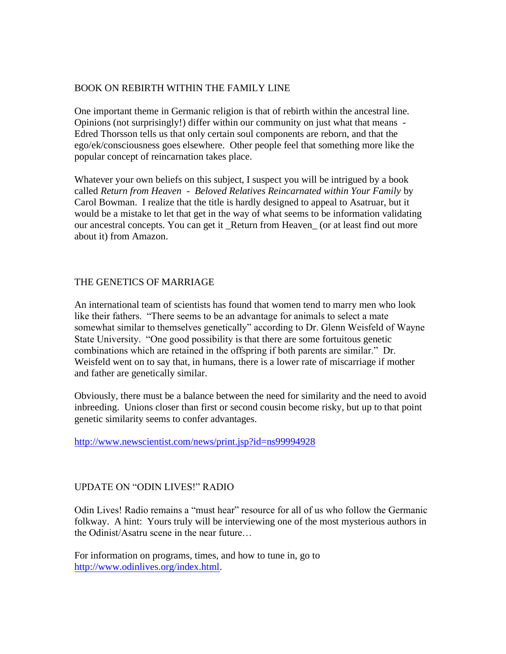## BOOK ON REBIRTH WITHIN THE FAMILY LINE

One important theme in Germanic religion is that of rebirth within the ancestral line. Opinions (not surprisingly!) differ within our community on just what that means - Edred Thorsson tells us that only certain soul components are reborn, and that the ego/ek/consciousness goes elsewhere. Other people feel that something more like the popular concept of reincarnation takes place.

Whatever your own beliefs on this subject, I suspect you will be intrigued by a book called *Return from Heaven* - *Beloved Relatives Reincarnated within Your Family* by Carol Bowman. I realize that the title is hardly designed to appeal to Asatruar, but it would be a mistake to let that get in the way of what seems to be information validating our ancestral concepts. You can get it \_Return from Heaven\_ (or at least find out more about it) from Amazon.

# THE GENETICS OF MARRIAGE

An international team of scientists has found that women tend to marry men who look like their fathers. "There seems to be an advantage for animals to select a mate somewhat similar to themselves genetically" according to Dr. Glenn Weisfeld of Wayne State University. "One good possibility is that there are some fortuitous genetic combinations which are retained in the offspring if both parents are similar." Dr. Weisfeld went on to say that, in humans, there is a lower rate of miscarriage if mother and father are genetically similar.

Obviously, there must be a balance between the need for similarity and the need to avoid inbreeding. Unions closer than first or second cousin become risky, but up to that point genetic similarity seems to confer advantages.

<http://www.newscientist.com/news/print.jsp?id=ns99994928>

## UPDATE ON "ODIN LIVES!" RADIO

Odin Lives! Radio remains a "must hear" resource for all of us who follow the Germanic folkway. A hint: Yours truly will be interviewing one of the most mysterious authors in the Odinist/Asatru scene in the near future…

For information on programs, times, and how to tune in, go to [http://www.odinlives.org/index.html.](http://www.odinlives.org/index.html)